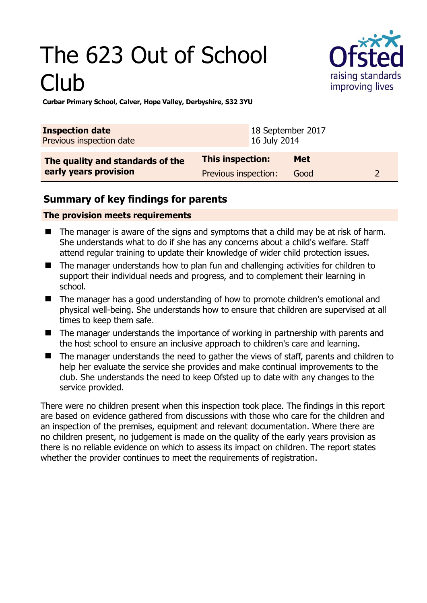# The 623 Out of School Club



**Curbar Primary School, Calver, Hope Valley, Derbyshire, S32 3YU** 

| <b>Inspection date</b>                                    |                                          | 18 September 2017 |                    |  |  |
|-----------------------------------------------------------|------------------------------------------|-------------------|--------------------|--|--|
| Previous inspection date                                  |                                          | 16 July 2014      |                    |  |  |
| The quality and standards of the<br>early years provision | This inspection:<br>Previous inspection: |                   | <b>Met</b><br>Good |  |  |

### **Summary of key findings for parents**

#### **The provision meets requirements**

- The manager is aware of the signs and symptoms that a child may be at risk of harm. She understands what to do if she has any concerns about a child's welfare. Staff attend regular training to update their knowledge of wider child protection issues.
- The manager understands how to plan fun and challenging activities for children to support their individual needs and progress, and to complement their learning in school.
- The manager has a good understanding of how to promote children's emotional and physical well-being. She understands how to ensure that children are supervised at all times to keep them safe.
- The manager understands the importance of working in partnership with parents and the host school to ensure an inclusive approach to children's care and learning.
- The manager understands the need to gather the views of staff, parents and children to help her evaluate the service she provides and make continual improvements to the club. She understands the need to keep Ofsted up to date with any changes to the service provided.

There were no children present when this inspection took place. The findings in this report are based on evidence gathered from discussions with those who care for the children and an inspection of the premises, equipment and relevant documentation. Where there are no children present, no judgement is made on the quality of the early years provision as there is no reliable evidence on which to assess its impact on children. The report states whether the provider continues to meet the requirements of registration.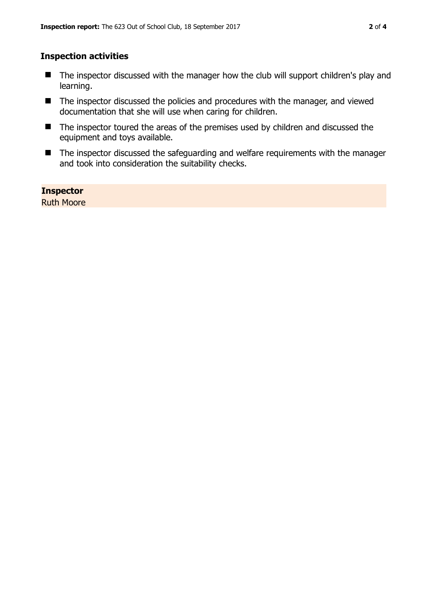#### **Inspection activities**

- The inspector discussed with the manager how the club will support children's play and learning.
- The inspector discussed the policies and procedures with the manager, and viewed documentation that she will use when caring for children.
- The inspector toured the areas of the premises used by children and discussed the equipment and toys available.
- The inspector discussed the safeguarding and welfare requirements with the manager and took into consideration the suitability checks.

**Inspector**  Ruth Moore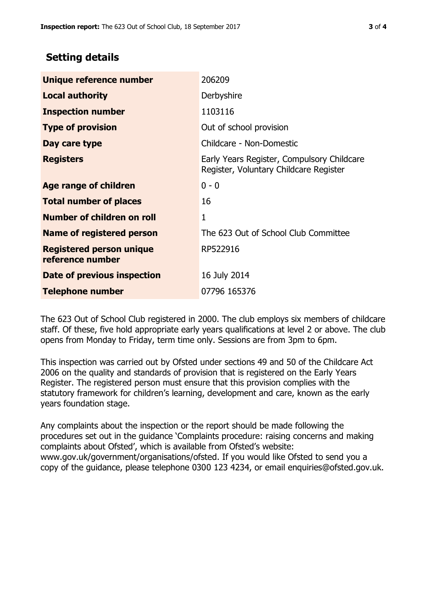## **Setting details**

| Unique reference number                             | 206209                                                                               |  |
|-----------------------------------------------------|--------------------------------------------------------------------------------------|--|
| <b>Local authority</b>                              | Derbyshire                                                                           |  |
| <b>Inspection number</b>                            | 1103116                                                                              |  |
| <b>Type of provision</b>                            | Out of school provision                                                              |  |
| Day care type                                       | Childcare - Non-Domestic                                                             |  |
| <b>Registers</b>                                    | Early Years Register, Compulsory Childcare<br>Register, Voluntary Childcare Register |  |
| Age range of children                               | $0 - 0$                                                                              |  |
| <b>Total number of places</b>                       | 16                                                                                   |  |
| Number of children on roll                          | 1                                                                                    |  |
| Name of registered person                           | The 623 Out of School Club Committee                                                 |  |
| <b>Registered person unique</b><br>reference number | RP522916                                                                             |  |
| <b>Date of previous inspection</b>                  | 16 July 2014                                                                         |  |
| <b>Telephone number</b>                             | 07796 165376                                                                         |  |

The 623 Out of School Club registered in 2000. The club employs six members of childcare staff. Of these, five hold appropriate early years qualifications at level 2 or above. The club opens from Monday to Friday, term time only. Sessions are from 3pm to 6pm.

This inspection was carried out by Ofsted under sections 49 and 50 of the Childcare Act 2006 on the quality and standards of provision that is registered on the Early Years Register. The registered person must ensure that this provision complies with the statutory framework for children's learning, development and care, known as the early years foundation stage.

Any complaints about the inspection or the report should be made following the procedures set out in the guidance 'Complaints procedure: raising concerns and making complaints about Ofsted', which is available from Ofsted's website: www.gov.uk/government/organisations/ofsted. If you would like Ofsted to send you a copy of the guidance, please telephone 0300 123 4234, or email enquiries@ofsted.gov.uk.